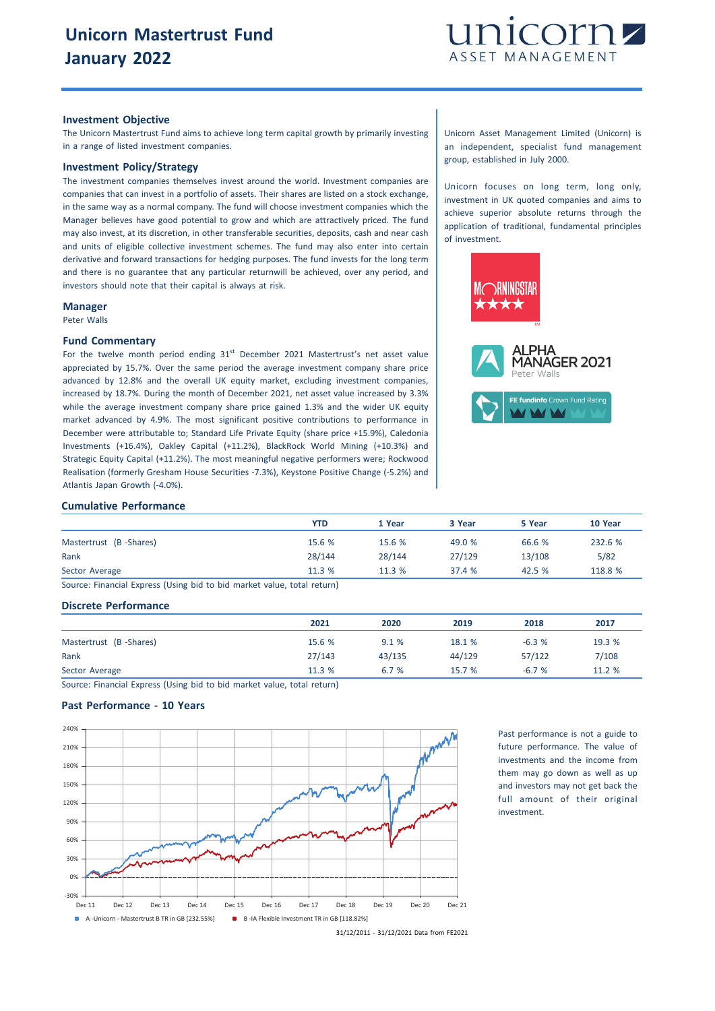

## **Investment Objective**

The Unicorn Mastertrust Fund aims to achieve long term capital growth by primarily investing in a range of listed investment companies.

#### **Investment Policy/Strategy**

The investment companies themselves invest around the world. Investment companies are companies that can invest in a portfolio of assets. Their shares are listed on a stock exchange, in the same way as a normal company. The fund will choose investment companies which the Manager believes have good potential to grow and which are attractively priced. The fund may also invest, at its discretion, in other transferable securities, deposits, cash and near cash and units of eligible collective investment schemes. The fund may also enter into certain derivative and forward transactions for hedging purposes. The fund invests for the long term and there is no guarantee that any particular returnwill be achieved, over any period, and investors should note that their capital is always at risk.

#### **Manager**

Peter Walls

## **Fund Commentary**

For the twelve month period ending  $31<sup>st</sup>$  December 2021 Mastertrust's net asset value appreciated by 15.7%. Over the same period the average investment company share price advanced by 12.8% and the overall UK equity market, excluding investment companies, increased by 18.7%. During the month of December 2021, net asset value increased by 3.3% while the average investment company share price gained 1.3% and the wider UK equity market advanced by 4.9%. The most significant positive contributions to performance in December were attributable to; Standard Life Private Equity (share price +15.9%), Caledonia Investments (+16.4%), Oakley Capital (+11.2%), BlackRock World Mining (+10.3%) and Strategic Equity Capital (+11.2%). The most meaningful negative performers were; Rockwood Realisation (formerly Gresham House Securities -7.3%), Keystone Positive Change (-5.2%) and Atlantis Japan Growth (-4.0%).

Unicorn Asset Management Limited (Unicorn) is an independent, specialist fund management group, established in July 2000.

Unicorn focuses on long term, long only, investment in UK quoted companies and aims to achieve superior absolute returns through the application of traditional, fundamental principles of investment.





## **Cumulative Performance**

|                        | YTD    | 1 Year | 3 Year | 5 Year | 10 Year |
|------------------------|--------|--------|--------|--------|---------|
| Mastertrust (B-Shares) | 15.6 % | 15.6%  | 49.0 % | 66.6 % | 232.6 % |
| Rank                   | 28/144 | 28/144 | 27/129 | 13/108 | 5/82    |
| Sector Average         | 11.3%  | 11.3%  | 37.4 % | 42.5 % | 118.8 % |
|                        |        |        |        |        |         |

Source: Financial Express (Using bid to bid market value, total return)

# **Discrete Performance**

|                        | 2021   | 2020   | 2019   | 2018    | 2017   |
|------------------------|--------|--------|--------|---------|--------|
| Mastertrust (B-Shares) | 15.6 % | 9.1%   | 18.1 % | $-6.3%$ | 19.3 % |
| Rank                   | 27/143 | 43/135 | 44/129 | 57/122  | 7/108  |
| Sector Average         | 11.3 % | 6.7 %  | 15.7%  | $-6.7%$ | 11.2 % |

Source: Financial Express (Using bid to bid market value, total return)

# **Past Performance - 10 Years**



Past performance is not a guide to future performance. The value of investments and the income from them may go down as well as up and investors may not get back the full amount of their original investment.

31/12/2011 - 31/12/2021 Data from FE2021